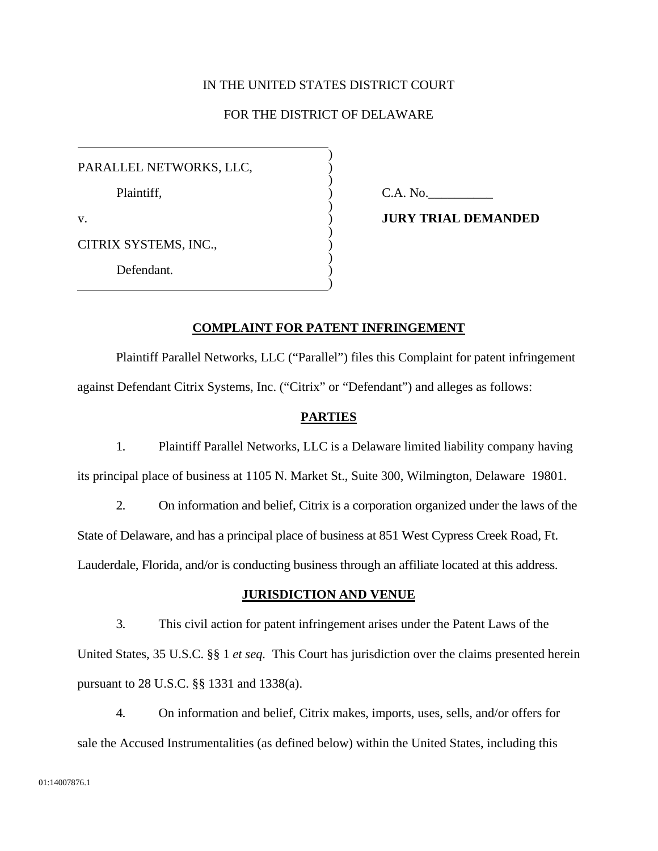### IN THE UNITED STATES DISTRICT COURT

# FOR THE DISTRICT OF DELAWARE

) ) ) ) ) ) ) ) ) ) )

PARALLEL NETWORKS, LLC, Plaintiff*,*  v.

 $C.A. No.$ 

**JURY TRIAL DEMANDED** 

CITRIX SYSTEMS, INC.,

Defendant*.* 

## **COMPLAINT FOR PATENT INFRINGEMENT**

Plaintiff Parallel Networks, LLC ("Parallel") files this Complaint for patent infringement against Defendant Citrix Systems, Inc. ("Citrix" or "Defendant") and alleges as follows:

## **PARTIES**

1. Plaintiff Parallel Networks, LLC is a Delaware limited liability company having its principal place of business at 1105 N. Market St., Suite 300, Wilmington, Delaware 19801.

2. On information and belief, Citrix is a corporation organized under the laws of the State of Delaware, and has a principal place of business at 851 West Cypress Creek Road, Ft. Lauderdale, Florida, and/or is conducting business through an affiliate located at this address.

# **JURISDICTION AND VENUE**

3. This civil action for patent infringement arises under the Patent Laws of the United States, 35 U.S.C. §§ 1 *et seq.* This Court has jurisdiction over the claims presented herein pursuant to 28 U.S.C. §§ 1331 and 1338(a).

4. On information and belief, Citrix makes, imports, uses, sells, and/or offers for sale the Accused Instrumentalities (as defined below) within the United States, including this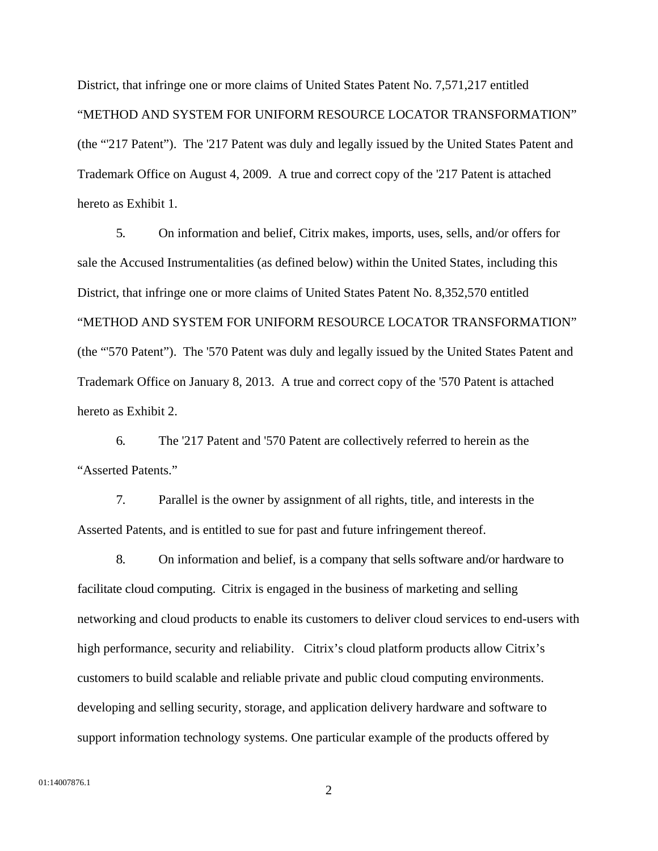District, that infringe one or more claims of United States Patent No. 7,571,217 entitled "METHOD AND SYSTEM FOR UNIFORM RESOURCE LOCATOR TRANSFORMATION" (the "'217 Patent"). The '217 Patent was duly and legally issued by the United States Patent and Trademark Office on August 4, 2009. A true and correct copy of the '217 Patent is attached hereto as Exhibit 1.

5. On information and belief, Citrix makes, imports, uses, sells, and/or offers for sale the Accused Instrumentalities (as defined below) within the United States, including this District, that infringe one or more claims of United States Patent No. 8,352,570 entitled "METHOD AND SYSTEM FOR UNIFORM RESOURCE LOCATOR TRANSFORMATION" (the "'570 Patent"). The '570 Patent was duly and legally issued by the United States Patent and Trademark Office on January 8, 2013. A true and correct copy of the '570 Patent is attached hereto as Exhibit 2.

6. The '217 Patent and '570 Patent are collectively referred to herein as the "Asserted Patents."

7. Parallel is the owner by assignment of all rights, title, and interests in the Asserted Patents, and is entitled to sue for past and future infringement thereof.

8. On information and belief, is a company that sells software and/or hardware to facilitate cloud computing. Citrix is engaged in the business of marketing and selling networking and cloud products to enable its customers to deliver cloud services to end-users with high performance, security and reliability. Citrix's cloud platform products allow Citrix's customers to build scalable and reliable private and public cloud computing environments. developing and selling security, storage, and application delivery hardware and software to support information technology systems. One particular example of the products offered by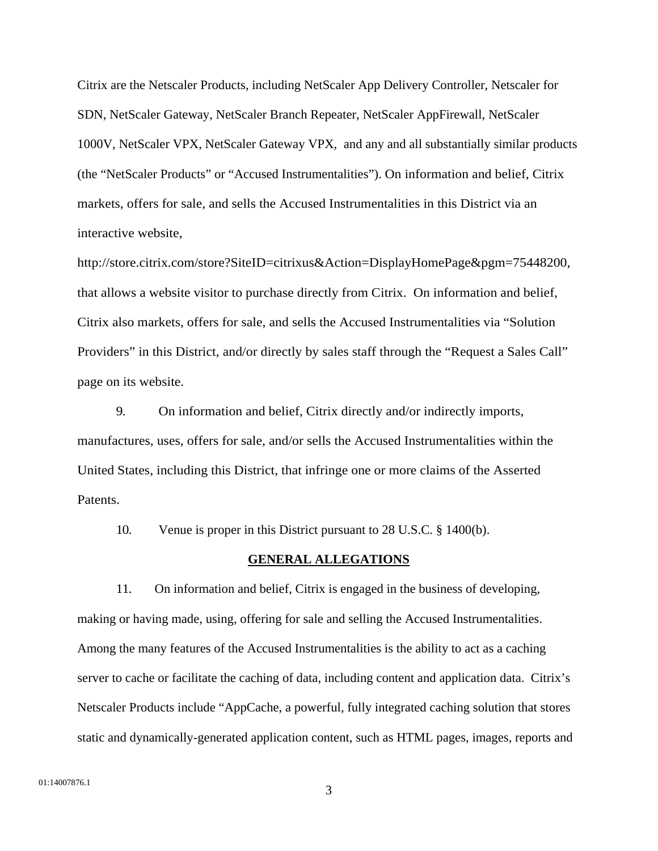Citrix are the Netscaler Products, including NetScaler App Delivery Controller, Netscaler for SDN, NetScaler Gateway, NetScaler Branch Repeater, NetScaler AppFirewall, NetScaler 1000V, NetScaler VPX, NetScaler Gateway VPX, and any and all substantially similar products (the "NetScaler Products" or "Accused Instrumentalities"). On information and belief, Citrix markets, offers for sale, and sells the Accused Instrumentalities in this District via an interactive website,

http://store.citrix.com/store?SiteID=citrixus&Action=DisplayHomePage&pgm=75448200, that allows a website visitor to purchase directly from Citrix. On information and belief, Citrix also markets, offers for sale, and sells the Accused Instrumentalities via "Solution Providers" in this District, and/or directly by sales staff through the "Request a Sales Call" page on its website.

9. On information and belief, Citrix directly and/or indirectly imports, manufactures, uses, offers for sale, and/or sells the Accused Instrumentalities within the United States, including this District, that infringe one or more claims of the Asserted Patents.

10. Venue is proper in this District pursuant to 28 U.S.C. § 1400(b).

#### **GENERAL ALLEGATIONS**

11. On information and belief, Citrix is engaged in the business of developing, making or having made, using, offering for sale and selling the Accused Instrumentalities. Among the many features of the Accused Instrumentalities is the ability to act as a caching server to cache or facilitate the caching of data, including content and application data. Citrix's Netscaler Products include "AppCache, a powerful, fully integrated caching solution that stores static and dynamically-generated application content, such as HTML pages, images, reports and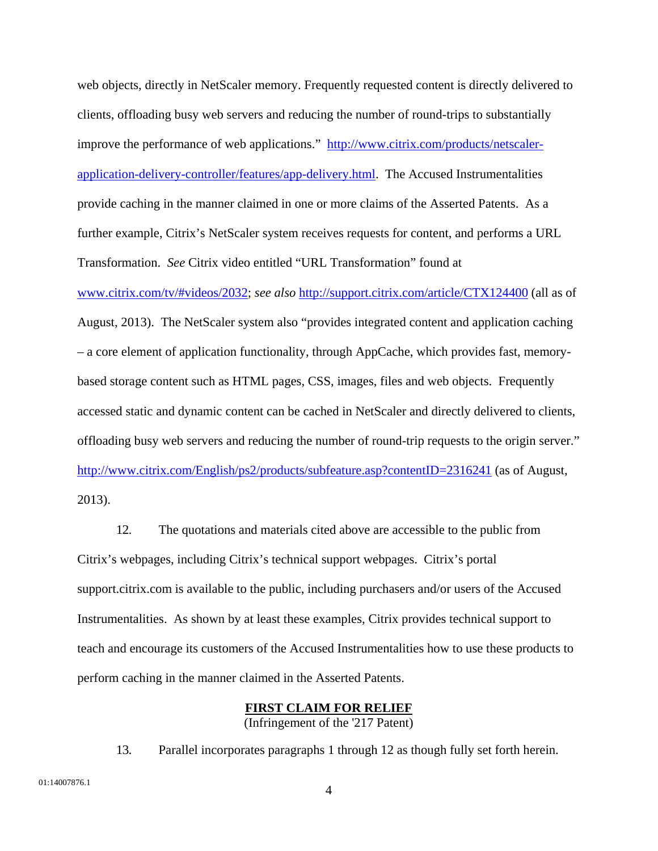web objects, directly in NetScaler memory. Frequently requested content is directly delivered to clients, offloading busy web servers and reducing the number of round-trips to substantially improve the performance of web applications." http://www.citrix.com/products/netscalerapplication-delivery-controller/features/app-delivery.html. The Accused Instrumentalities provide caching in the manner claimed in one or more claims of the Asserted Patents. As a further example, Citrix's NetScaler system receives requests for content, and performs a URL Transformation. *See* Citrix video entitled "URL Transformation" found at www.citrix.com/tv/#videos/2032; *see also* http://support.citrix.com/article/CTX124400 (all as of August, 2013). The NetScaler system also "provides integrated content and application caching – a core element of application functionality, through AppCache, which provides fast, memorybased storage content such as HTML pages, CSS, images, files and web objects. Frequently accessed static and dynamic content can be cached in NetScaler and directly delivered to clients, offloading busy web servers and reducing the number of round-trip requests to the origin server." http://www.citrix.com/English/ps2/products/subfeature.asp?contentID=2316241 (as of August, 2013).

12. The quotations and materials cited above are accessible to the public from Citrix's webpages, including Citrix's technical support webpages. Citrix's portal support.citrix.com is available to the public, including purchasers and/or users of the Accused Instrumentalities. As shown by at least these examples, Citrix provides technical support to teach and encourage its customers of the Accused Instrumentalities how to use these products to perform caching in the manner claimed in the Asserted Patents.

#### **FIRST CLAIM FOR RELIEF**

(Infringement of the '217 Patent)

13. Parallel incorporates paragraphs 1 through 12 as though fully set forth herein.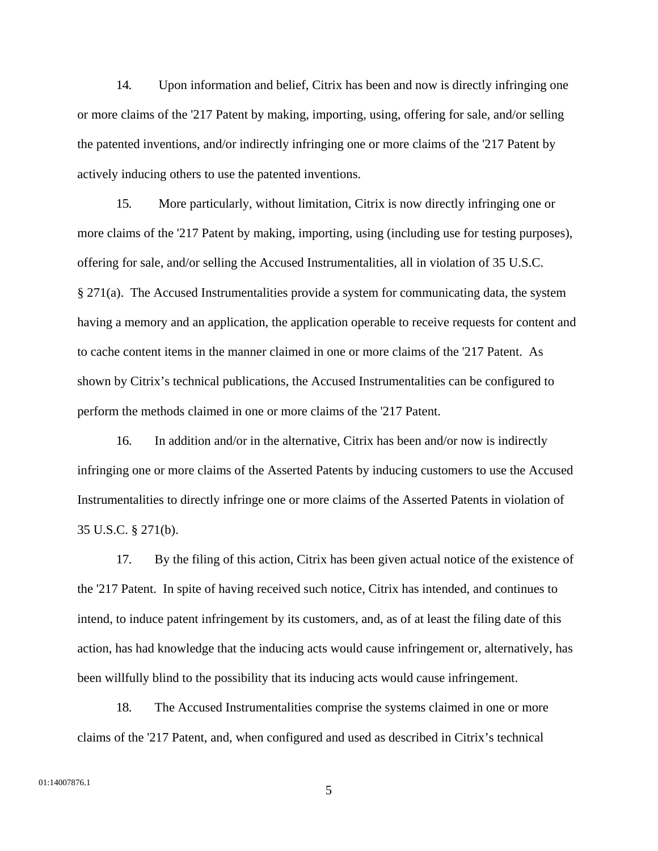14. Upon information and belief, Citrix has been and now is directly infringing one or more claims of the '217 Patent by making, importing, using, offering for sale, and/or selling the patented inventions, and/or indirectly infringing one or more claims of the '217 Patent by actively inducing others to use the patented inventions.

15. More particularly, without limitation, Citrix is now directly infringing one or more claims of the '217 Patent by making, importing, using (including use for testing purposes), offering for sale, and/or selling the Accused Instrumentalities, all in violation of 35 U.S.C. § 271(a). The Accused Instrumentalities provide a system for communicating data, the system having a memory and an application, the application operable to receive requests for content and to cache content items in the manner claimed in one or more claims of the '217 Patent. As shown by Citrix's technical publications, the Accused Instrumentalities can be configured to perform the methods claimed in one or more claims of the '217 Patent.

16. In addition and/or in the alternative, Citrix has been and/or now is indirectly infringing one or more claims of the Asserted Patents by inducing customers to use the Accused Instrumentalities to directly infringe one or more claims of the Asserted Patents in violation of 35 U.S.C. § 271(b).

17. By the filing of this action, Citrix has been given actual notice of the existence of the '217 Patent. In spite of having received such notice, Citrix has intended, and continues to intend, to induce patent infringement by its customers, and, as of at least the filing date of this action, has had knowledge that the inducing acts would cause infringement or, alternatively, has been willfully blind to the possibility that its inducing acts would cause infringement.

18. The Accused Instrumentalities comprise the systems claimed in one or more claims of the '217 Patent, and, when configured and used as described in Citrix's technical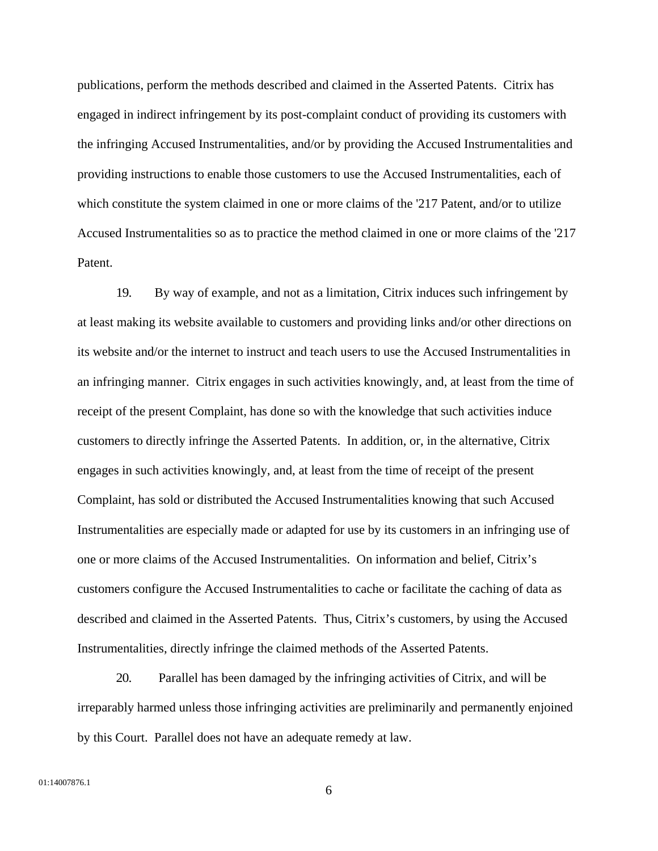publications, perform the methods described and claimed in the Asserted Patents. Citrix has engaged in indirect infringement by its post-complaint conduct of providing its customers with the infringing Accused Instrumentalities, and/or by providing the Accused Instrumentalities and providing instructions to enable those customers to use the Accused Instrumentalities, each of which constitute the system claimed in one or more claims of the '217 Patent, and/or to utilize Accused Instrumentalities so as to practice the method claimed in one or more claims of the '217 Patent.

19. By way of example, and not as a limitation, Citrix induces such infringement by at least making its website available to customers and providing links and/or other directions on its website and/or the internet to instruct and teach users to use the Accused Instrumentalities in an infringing manner. Citrix engages in such activities knowingly, and, at least from the time of receipt of the present Complaint, has done so with the knowledge that such activities induce customers to directly infringe the Asserted Patents. In addition, or, in the alternative, Citrix engages in such activities knowingly, and, at least from the time of receipt of the present Complaint, has sold or distributed the Accused Instrumentalities knowing that such Accused Instrumentalities are especially made or adapted for use by its customers in an infringing use of one or more claims of the Accused Instrumentalities. On information and belief, Citrix's customers configure the Accused Instrumentalities to cache or facilitate the caching of data as described and claimed in the Asserted Patents. Thus, Citrix's customers, by using the Accused Instrumentalities, directly infringe the claimed methods of the Asserted Patents.

20. Parallel has been damaged by the infringing activities of Citrix, and will be irreparably harmed unless those infringing activities are preliminarily and permanently enjoined by this Court. Parallel does not have an adequate remedy at law.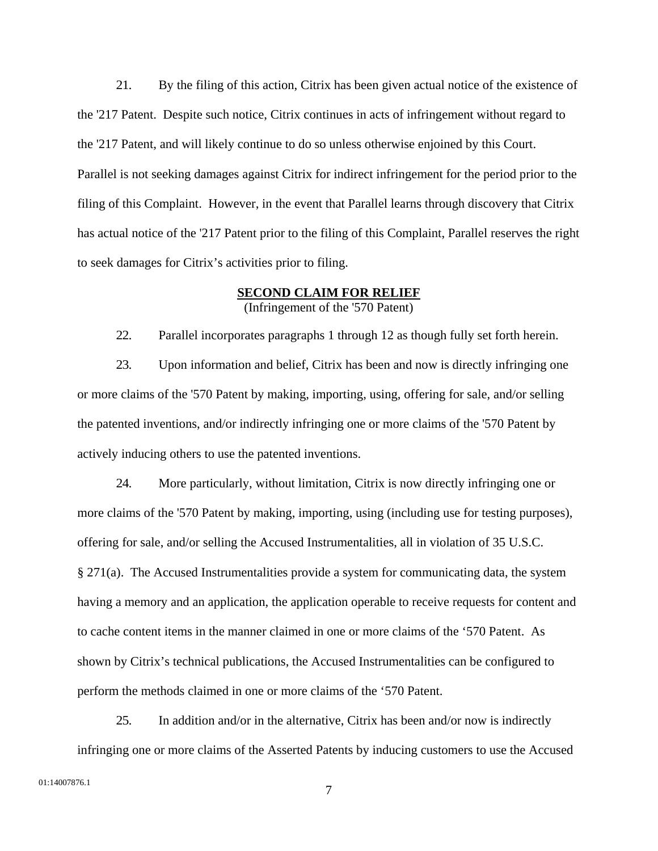21. By the filing of this action, Citrix has been given actual notice of the existence of the '217 Patent. Despite such notice, Citrix continues in acts of infringement without regard to the '217 Patent, and will likely continue to do so unless otherwise enjoined by this Court. Parallel is not seeking damages against Citrix for indirect infringement for the period prior to the filing of this Complaint. However, in the event that Parallel learns through discovery that Citrix has actual notice of the '217 Patent prior to the filing of this Complaint, Parallel reserves the right to seek damages for Citrix's activities prior to filing.

#### **SECOND CLAIM FOR RELIEF**

(Infringement of the '570 Patent)

22. Parallel incorporates paragraphs 1 through 12 as though fully set forth herein.

23. Upon information and belief, Citrix has been and now is directly infringing one or more claims of the '570 Patent by making, importing, using, offering for sale, and/or selling the patented inventions, and/or indirectly infringing one or more claims of the '570 Patent by actively inducing others to use the patented inventions.

24. More particularly, without limitation, Citrix is now directly infringing one or more claims of the '570 Patent by making, importing, using (including use for testing purposes), offering for sale, and/or selling the Accused Instrumentalities, all in violation of 35 U.S.C. § 271(a). The Accused Instrumentalities provide a system for communicating data, the system having a memory and an application, the application operable to receive requests for content and to cache content items in the manner claimed in one or more claims of the '570 Patent. As shown by Citrix's technical publications, the Accused Instrumentalities can be configured to perform the methods claimed in one or more claims of the '570 Patent.

25. In addition and/or in the alternative, Citrix has been and/or now is indirectly infringing one or more claims of the Asserted Patents by inducing customers to use the Accused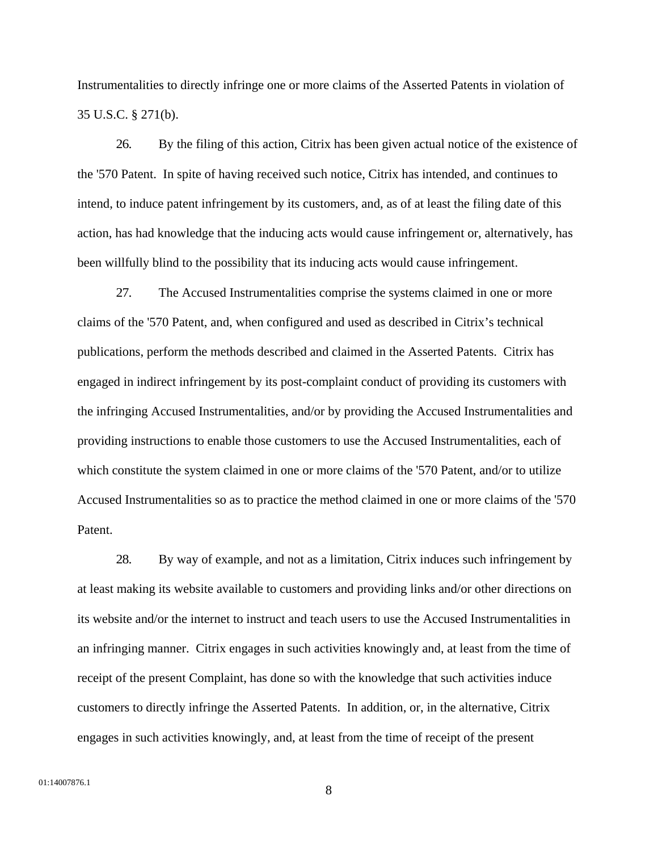Instrumentalities to directly infringe one or more claims of the Asserted Patents in violation of 35 U.S.C. § 271(b).

26. By the filing of this action, Citrix has been given actual notice of the existence of the '570 Patent. In spite of having received such notice, Citrix has intended, and continues to intend, to induce patent infringement by its customers, and, as of at least the filing date of this action, has had knowledge that the inducing acts would cause infringement or, alternatively, has been willfully blind to the possibility that its inducing acts would cause infringement.

27. The Accused Instrumentalities comprise the systems claimed in one or more claims of the '570 Patent, and, when configured and used as described in Citrix's technical publications, perform the methods described and claimed in the Asserted Patents. Citrix has engaged in indirect infringement by its post-complaint conduct of providing its customers with the infringing Accused Instrumentalities, and/or by providing the Accused Instrumentalities and providing instructions to enable those customers to use the Accused Instrumentalities, each of which constitute the system claimed in one or more claims of the '570 Patent, and/or to utilize Accused Instrumentalities so as to practice the method claimed in one or more claims of the '570 Patent.

28. By way of example, and not as a limitation, Citrix induces such infringement by at least making its website available to customers and providing links and/or other directions on its website and/or the internet to instruct and teach users to use the Accused Instrumentalities in an infringing manner. Citrix engages in such activities knowingly and, at least from the time of receipt of the present Complaint, has done so with the knowledge that such activities induce customers to directly infringe the Asserted Patents. In addition, or, in the alternative, Citrix engages in such activities knowingly, and, at least from the time of receipt of the present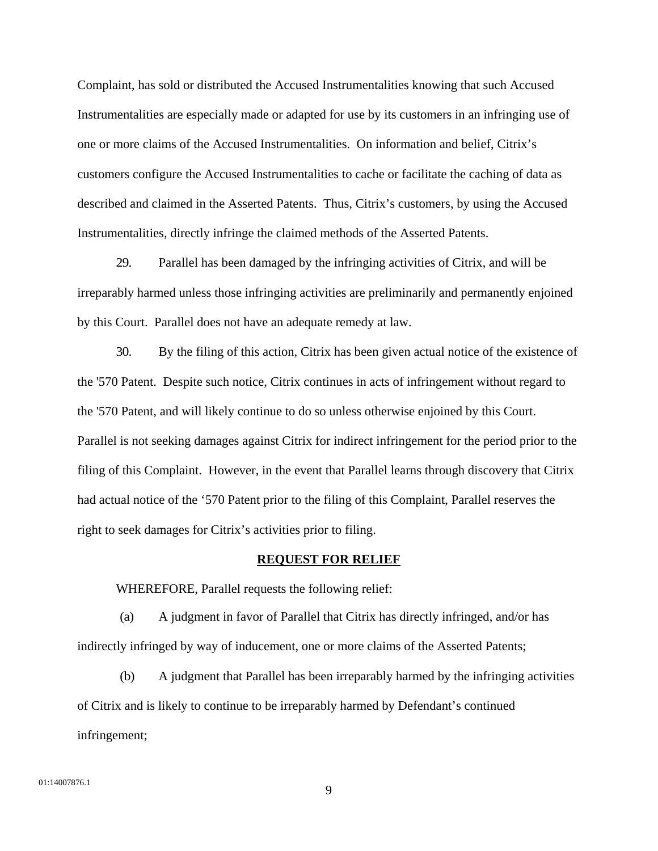Complaint, has sold or distributed the Accused Instrumentalities knowing that such Accused Instrumentalities are especially made or adapted for use by its customers in an infringing use of one or more claims of the Accused Instrumentalities. On information and belief, Citrix's customers configure the Accused Instrumentalities to cache or facilitate the caching of data as described and claimed in the Asserted Patents. Thus, Citrix's customers, by using the Accused Instrumentalities, directly infringe the claimed methods of the Asserted Patents.

29. Parallel has been damaged by the infringing activities of Citrix, and will be irreparably harmed unless those infringing activities are preliminarily and permanently enjoined by this Court. Parallel does not have an adequate remedy at law.

30. By the filing of this action, Citrix has been given actual notice of the existence of the '570 Patent. Despite such notice, Citrix continues in acts of infringement without regard to the '570 Patent, and will likely continue to do so unless otherwise enjoined by this Court. Parallel is not seeking damages against Citrix for indirect infringement for the period prior to the filing of this Complaint. However, in the event that Parallel learns through discovery that Citrix had actual notice of the '570 Patent prior to the filing of this Complaint, Parallel reserves the right to seek damages for Citrix's activities prior to filing.

#### **REQUEST FOR RELIEF**

WHEREFORE, Parallel requests the following relief:

(a) A judgment in favor of Parallel that Citrix has directly infringed, and/or has indirectly infringed by way of inducement, one or more claims of the Asserted Patents;

(b) A judgment that Parallel has been irreparably harmed by the infringing activities of Citrix and is likely to continue to be irreparably harmed by Defendant's continued infringement;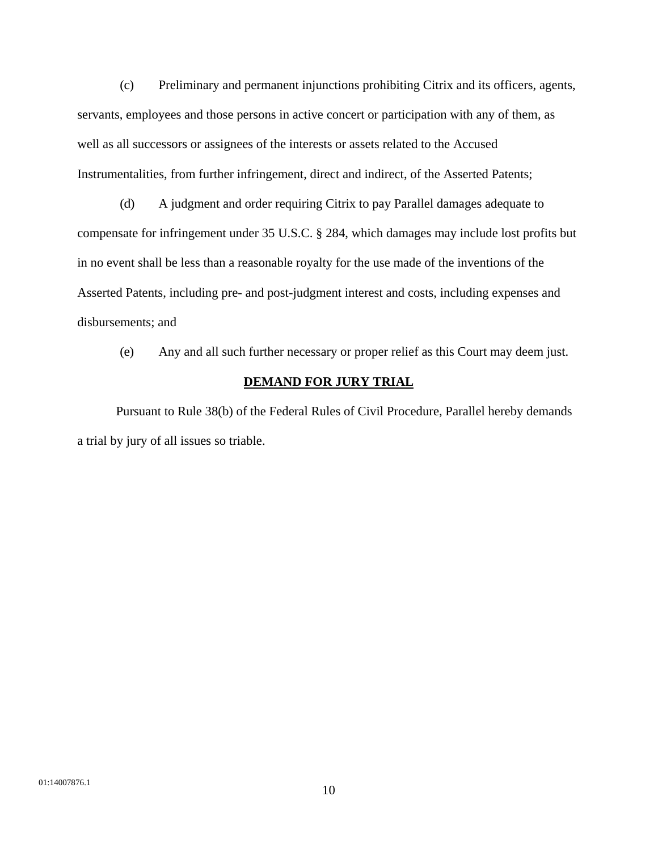(c) Preliminary and permanent injunctions prohibiting Citrix and its officers, agents, servants, employees and those persons in active concert or participation with any of them, as well as all successors or assignees of the interests or assets related to the Accused Instrumentalities, from further infringement, direct and indirect, of the Asserted Patents;

(d) A judgment and order requiring Citrix to pay Parallel damages adequate to compensate for infringement under 35 U.S.C. § 284, which damages may include lost profits but in no event shall be less than a reasonable royalty for the use made of the inventions of the Asserted Patents, including pre- and post-judgment interest and costs, including expenses and disbursements; and

(e) Any and all such further necessary or proper relief as this Court may deem just.

### **DEMAND FOR JURY TRIAL**

 Pursuant to Rule 38(b) of the Federal Rules of Civil Procedure, Parallel hereby demands a trial by jury of all issues so triable.